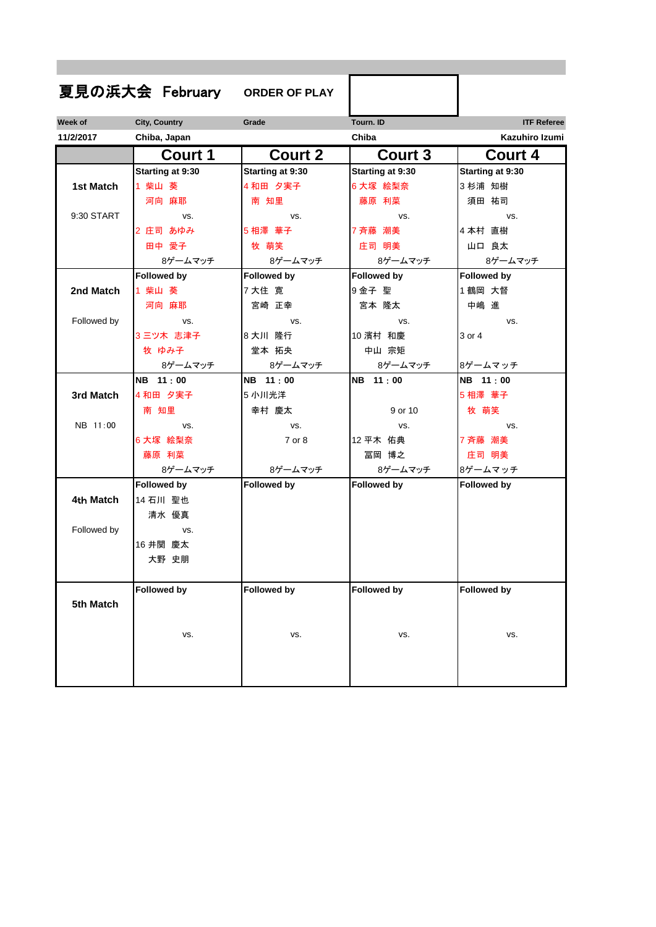## 夏見の浜大会 February **ORDER OF PLAY**

**Week of City, Country Grade Tourn. ID ITF Referee 11/2/2017 Chiba, Japan Chiba Kazuhiro Izumi Court 1 Court 2 Court 3 Court 4 Starting at 9:30 Starting at 9:30 Starting at 9:30 Starting at 9:30 1st Match | 1 柴山 葵 キュラ イエン 4 和田 夕実子 オン 6 大塚 絵梨奈 キュラ 3 杉浦 知樹** - 河向 麻耶 シンク 南 知里 インク インラン 藤原 利菜 ジンク インダン 須田 祐司 9:30 START vs. vs. vs. vs. 2 庄司 あゆみ 5 相澤 華子 マ ア斉藤 潮美 タ イ イ イ イ イ イ 国樹 田中 愛子 けいちゃく はんちょう あんちょう はんちょう はんしょう 山口 良太 8ゲームマッチ 8ゲームマッチ | 8ゲームマッチ | 8ゲームマッチ **Followed by Followed by Followed by Followed by** <mark>2nd Match </mark>1 柴山 葵 ジョンファント 実際 こうしゃ ちょう しゅう しゅう しゅう まいちゅう 1 鶴岡 大督 □ アコン アコン マンス おんじょう おんじょう おんじょう おんじょう おおし おおし おおし おおし まんだ おおし まんだ おおし おおし こくさん こうしょう こうしょう こうしょう こうし アンドル こうしゃ こうしゃ こうしょう Followed by service that the service of the vs. The vs. was well as well as well as well as well as well as we 3 三ツ木 志津子 ┃8 大川 隆行 ┃10 濱村 和慶 ┃3 or 4 牧 ゆみ子 キャンプ 学本 拓央 キャンプ キャル 宗矩 8ゲームマッチ | 8ゲームマッチ | 8ゲームマッチ | 8ゲームマッチ **NB 11**:**00 NB 11**:**00 NB 11**:**00 NB 11**:**00 3rd Match 4 和田 夕実子 5 小川光洋 5 相澤 華子 南 知里 キ村 慶太 キガ ライス りの 10 キガ かんじょう きょう** 9 or 10 キガ 11 牧 萌笑 NB 11:00 vs. vs. vs. vs. 6 大塚 絵梨奈 7 or 8 12 平木 佑典 7 斉藤 潮美 **藤原 利菜 スキャント マンチ マンチ おおおお こうしゃ 富岡 博之 いっぽ 自由 自由 明美** 8ゲームマッチ | 8ゲームマッチ | 8ゲームマッチ | 8ゲームマッチ **Followed by Followed by Followed by Followed by 4**th **Match** 14 石川 聖也 清水 優真 Followed by vs. 16 井関 慶太 大野 史朋 **Followed by Followed by Followed by Followed by 5th Match** vs. vs. vs. vs.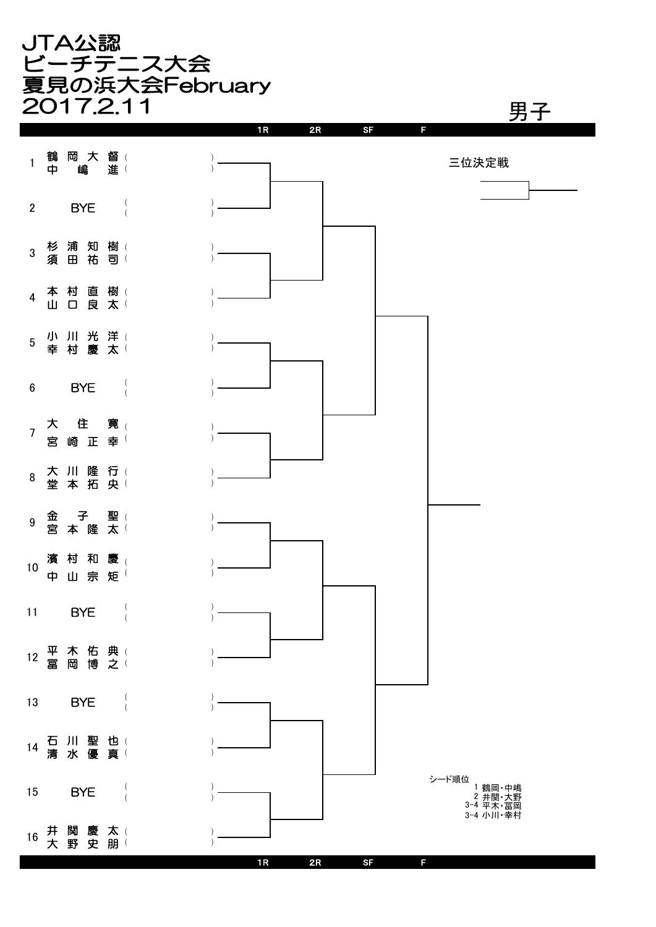JTA公認 ごーチテニス大会 夏見の浜大会February 2017.2.11

1R 2R SF F<sub>ind</sub> the state of the state of the state of the state of the state of the state of the state of the state of the state of the state of the state of the state of the state of the state of the state of the state of the sta シード順位 <sup>1</sup> 鶴岡・中嶋 <sup>2</sup> 井関・大野 3-4 平木・冨岡 3-4 小川・幸村 BYE BYE BYE  $16$  井 関 慶 太 (<br>大 野 史 朋 ( ) ) ( ) 15 ( ) 清 水 優 真 ( ) 14 石 川 聖 也 ( ) ( ) 13 ( ) 12 BYE 冨 岡 博 之 ( ) 平 木 佑 典 ( ) ) 11 ( ) 中 山 宗 矩 <sup>(</sup> ) 10 濱 村 和 慶<sub>(</sub> ) 宮 本 隆 太 ( ) 9 金 子 聖 ( ) 8 堂 本 拓 央 ( ) 大 川 隆 行 ( ) 宮 崎 正 幸<sup>(</sup> ) 7 大 住 寛<sub>(</sub> ) ( ) 6 ( ) 幸 村 慶 太 ( ) 5 小川光洋( ) 山 口 良 太 ( ) 4 本 村 直 樹 ( ) 3 須 田 祐 司 ( ) 杉 浦 知 樹 ( ) 2 BYE ( ) ( ) 1 鶴 岡 大 督(<br>1 中 <u>岬 </u>洋( ) 三位決定戦 中 嶋 進 ( )

1R 2R SF

F<sub>ind</sub> the state of the state of the state of the state of the state of the state of the state of the state of the state of the state of the state of the state of the state of the state of the state of the state of the sta

男子